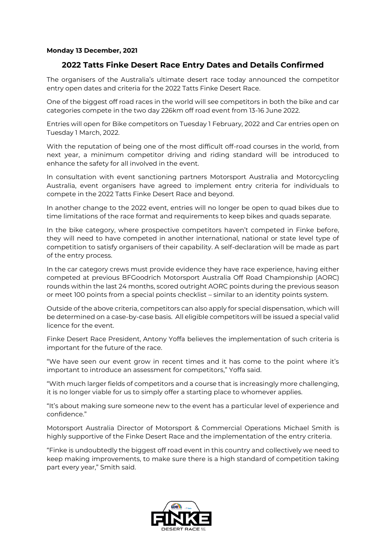### **Monday 13 December, 2021**

# **2022 Tatts Finke Desert Race Entry Dates and Details Confirmed**

The organisers of the Australia's ultimate desert race today announced the competitor entry open dates and criteria for the 2022 Tatts Finke Desert Race.

One of the biggest off road races in the world will see competitors in both the bike and car categories compete in the two day 226km off road event from 13-16 June 2022.

Entries will open for Bike competitors on Tuesday 1 February, 2022 and Car entries open on Tuesday 1 March, 2022.

With the reputation of being one of the most difficult off-road courses in the world, from next year, a minimum competitor driving and riding standard will be introduced to enhance the safety for all involved in the event.

In consultation with event sanctioning partners Motorsport Australia and Motorcycling Australia, event organisers have agreed to implement entry criteria for individuals to compete in the 2022 Tatts Finke Desert Race and beyond.

In another change to the 2022 event, entries will no longer be open to quad bikes due to time limitations of the race format and requirements to keep bikes and quads separate.

In the bike category, where prospective competitors haven't competed in Finke before, they will need to have competed in another international, national or state level type of competition to satisfy organisers of their capability. A self-declaration will be made as part of the entry process.

In the car category crews must provide evidence they have race experience, having either competed at previous BFGoodrich Motorsport Australia Off Road Championship (AORC) rounds within the last 24 months, scored outright AORC points during the previous season or meet 100 points from a special points checklist – similar to an identity points system.

Outside of the above criteria, competitors can also apply for special dispensation, which will be determined on a case-by-case basis. All eligible competitors will be issued a special valid licence for the event.

Finke Desert Race President, Antony Yoffa believes the implementation of such criteria is important for the future of the race.

"We have seen our event grow in recent times and it has come to the point where it's important to introduce an assessment for competitors," Yoffa said.

"With much larger fields of competitors and a course that is increasingly more challenging, it is no longer viable for us to simply offer a starting place to whomever applies.

"It's about making sure someone new to the event has a particular level of experience and confidence."

Motorsport Australia Director of Motorsport & Commercial Operations Michael Smith is highly supportive of the Finke Desert Race and the implementation of the entry criteria.

"Finke is undoubtedly the biggest off road event in this country and collectively we need to keep making improvements, to make sure there is a high standard of competition taking part every year," Smith said.

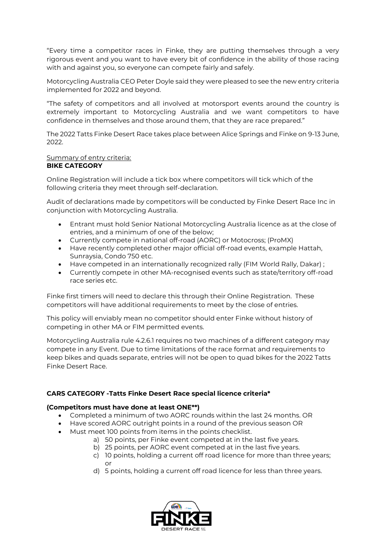"Every time a competitor races in Finke, they are putting themselves through a very rigorous event and you want to have every bit of confidence in the ability of those racing with and against you, so everyone can compete fairly and safely.

Motorcycling Australia CEO Peter Doyle said they were pleased to see the new entry criteria implemented for 2022 and beyond.

"The safety of competitors and all involved at motorsport events around the country is extremely important to Motorcycling Australia and we want competitors to have confidence in themselves and those around them, that they are race prepared."

The 2022 Tatts Finke Desert Race takes place between Alice Springs and Finke on 9-13 June, 2022.

#### Summary of entry criteria: **BIKE CATEGORY**

Online Registration will include a tick box where competitors will tick which of the following criteria they meet through self-declaration.

Audit of declarations made by competitors will be conducted by Finke Desert Race Inc in conjunction with Motorcycling Australia.

- Entrant must hold Senior National Motorcycling Australia licence as at the close of entries, and a minimum of one of the below;
- Currently compete in national off-road (AORC) or Motocross; (ProMX)
- Have recently completed other major official off-road events, example Hattah, Sunraysia, Condo 750 etc.
- Have competed in an internationally recognized rally (FIM World Rally, Dakar) ;
- Currently compete in other MA-recognised events such as state/territory off-road race series etc.

Finke first timers will need to declare this through their Online Registration. These competitors will have additional requirements to meet by the close of entries.

This policy will enviably mean no competitor should enter Finke without history of competing in other MA or FIM permitted events.

Motorcycling Australia rule 4.2.6.1 requires no two machines of a different category may compete in any Event. Due to time limitations of the race format and requirements to keep bikes and quads separate, entries will not be open to quad bikes for the 2022 Tatts Finke Desert Race.

## **CARS CATEGORY -Tatts Finke Desert Race special licence criteria\***

## **(Competitors must have done at least ONE\*\*)**

- Completed a minimum of two AORC rounds within the last 24 months. OR
- Have scored AORC outright points in a round of the previous season OR
- Must meet 100 points from items in the points checklist.
	- a) 50 points, per Finke event competed at in the last five years.
	- b) 25 points, per AORC event competed at in the last five years.
	- c) 10 points, holding a current off road licence for more than three years; or
	- d) 5 points, holding a current off road licence for less than three years.